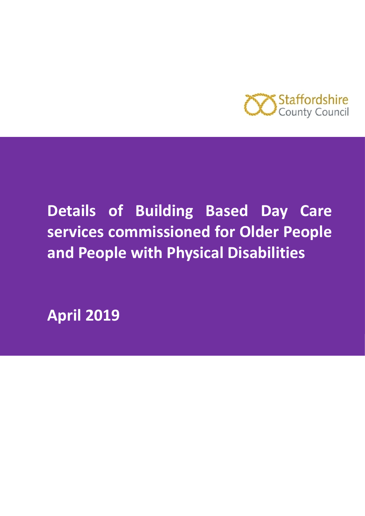

# **Details of Building Based Day Care services commissioned for Older People and People with Physical Disabilities**

**April 2019**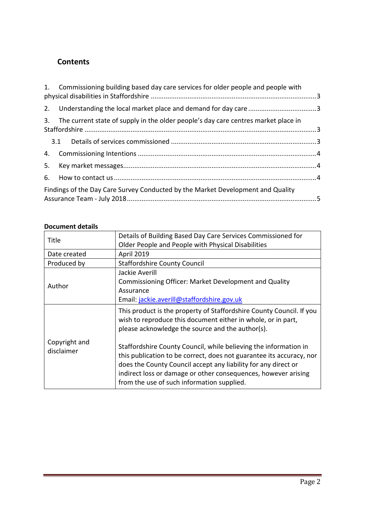# **Contents**

|    | 1. Commissioning building based day care services for older people and people with |  |
|----|------------------------------------------------------------------------------------|--|
|    |                                                                                    |  |
| 3. | The current state of supply in the older people's day care centres market place in |  |
|    |                                                                                    |  |
|    |                                                                                    |  |
| 5. |                                                                                    |  |
| 6. |                                                                                    |  |
|    | Findings of the Day Care Survey Conducted by the Market Development and Quality    |  |

| Title                       | Details of Building Based Day Care Services Commissioned for<br>Older People and People with Physical Disabilities                                                                                                                                                                                                         |  |  |  |
|-----------------------------|----------------------------------------------------------------------------------------------------------------------------------------------------------------------------------------------------------------------------------------------------------------------------------------------------------------------------|--|--|--|
| Date created                | April 2019                                                                                                                                                                                                                                                                                                                 |  |  |  |
| Produced by                 | <b>Staffordshire County Council</b>                                                                                                                                                                                                                                                                                        |  |  |  |
|                             | Jackie Averill                                                                                                                                                                                                                                                                                                             |  |  |  |
|                             | Commissioning Officer: Market Development and Quality                                                                                                                                                                                                                                                                      |  |  |  |
| Author                      | Assurance                                                                                                                                                                                                                                                                                                                  |  |  |  |
|                             | Email: jackie.averill@staffordshire.gov.uk                                                                                                                                                                                                                                                                                 |  |  |  |
|                             | This product is the property of Staffordshire County Council. If you<br>wish to reproduce this document either in whole, or in part,<br>please acknowledge the source and the author(s).                                                                                                                                   |  |  |  |
| Copyright and<br>disclaimer | Staffordshire County Council, while believing the information in<br>this publication to be correct, does not guarantee its accuracy, nor<br>does the County Council accept any liability for any direct or<br>indirect loss or damage or other consequences, however arising<br>from the use of such information supplied. |  |  |  |

# **Document details**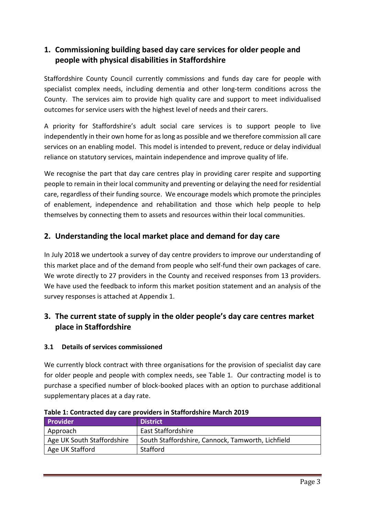# <span id="page-2-0"></span>**1. Commissioning building based day care services for older people and people with physical disabilities in Staffordshire**

Staffordshire County Council currently commissions and funds day care for people with specialist complex needs, including dementia and other long-term conditions across the County. The services aim to provide high quality care and support to meet individualised outcomes for service users with the highest level of needs and their carers.

A priority for Staffordshire's adult social care services is to support people to live independently in their own home for as long as possible and we therefore commission all care services on an enabling model. This model is intended to prevent, reduce or delay individual reliance on statutory services, maintain independence and improve quality of life.

We recognise the part that day care centres play in providing carer respite and supporting people to remain in their local community and preventing or delaying the need for residential care, regardless of their funding source. We encourage models which promote the principles of enablement, independence and rehabilitation and those which help people to help themselves by connecting them to assets and resources within their local communities.

# <span id="page-2-1"></span>**2. Understanding the local market place and demand for day care**

In July 2018 we undertook a survey of day centre providers to improve our understanding of this market place and of the demand from people who self-fund their own packages of care. We wrote directly to 27 providers in the County and received responses from 13 providers. We have used the feedback to inform this market position statement and an analysis of the survey responses is attached at Appendix 1.

# <span id="page-2-2"></span>**3. The current state of supply in the older people's day care centres market place in Staffordshire**

## <span id="page-2-3"></span>**3.1 Details of services commissioned**

We currently block contract with three organisations for the provision of specialist day care for older people and people with complex needs, see Table 1. Our contracting model is to purchase a specified number of block-booked places with an option to purchase additional supplementary places at a day rate.

| <b>Provider</b>            | <b>District</b>                                   |
|----------------------------|---------------------------------------------------|
| Approach                   | <b>East Staffordshire</b>                         |
| Age UK South Staffordshire | South Staffordshire, Cannock, Tamworth, Lichfield |
| Age UK Stafford            | Stafford                                          |

**Table 1: Contracted day care providers in Staffordshire March 2019**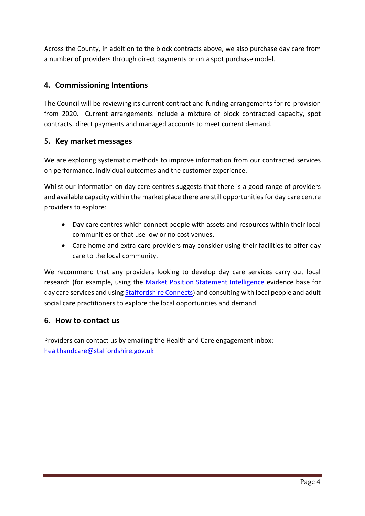Across the County, in addition to the block contracts above, we also purchase day care from a number of providers through direct payments or on a spot purchase model.

# <span id="page-3-0"></span>**4. Commissioning Intentions**

The Council will be reviewing its current contract and funding arrangements for re-provision from 2020. Current arrangements include a mixture of block contracted capacity, spot contracts, direct payments and managed accounts to meet current demand.

## <span id="page-3-1"></span>**5. Key market messages**

We are exploring systematic methods to improve information from our contracted services on performance, individual outcomes and the customer experience.

Whilst our information on day care centres suggests that there is a good range of providers and available capacity within the market place there are still opportunities for day care centre providers to explore:

- Day care centres which connect people with assets and resources within their local communities or that use low or no cost venues.
- Care home and extra care providers may consider using their facilities to offer day care to the local community.

We recommend that any providers looking to develop day care services carry out local research (for example, using the [Market Position Statement Intelligence](https://www.staffordshire.gov.uk/health/Information-for-providers/Market-Intelligence/Market-Intelligence.aspx) evidence base for day care services and using [Staffordshire Connects\)](https://www.staffordshireconnects.info/kb5/staffordshire/directory/adult.page?adultchannel=0) and consulting with local people and adult social care practitioners to explore the local opportunities and demand.

## <span id="page-3-2"></span>**6. How to contact us**

Providers can contact us by emailing the Health and Care engagement inbox: [healthandcare@staffordshire.gov.uk](mailto:healthandcare@staffordshire.gov.uk)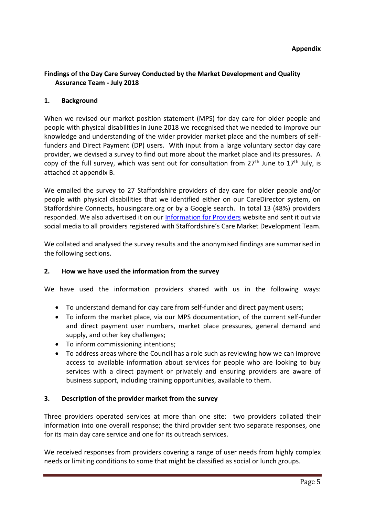#### **Appendix**

## <span id="page-4-0"></span>**Findings of the Day Care Survey Conducted by the Market Development and Quality Assurance Team - July 2018**

#### **1. Background**

When we revised our market position statement (MPS) for day care for older people and people with physical disabilities in June 2018 we recognised that we needed to improve our knowledge and understanding of the wider provider market place and the numbers of selffunders and Direct Payment (DP) users. With input from a large voluntary sector day care provider, we devised a survey to find out more about the market place and its pressures. A copy of the full survey, which was sent out for consultation from  $27<sup>th</sup>$  June to  $17<sup>th</sup>$  July, is attached at appendix B.

We emailed the survey to 27 Staffordshire providers of day care for older people and/or people with physical disabilities that we identified either on our CareDirector system, on Staffordshire Connects, housingcare.org or by a Google search. In total 13 (48%) providers responded. We also advertised it on our [Information for Providers](https://www.staffordshire.gov.uk/health/Information-for-providers/Information-for-providers.aspx) website and sent it out via social media to all providers registered with Staffordshire's Care Market Development Team.

We collated and analysed the survey results and the anonymised findings are summarised in the following sections.

### **2. How we have used the information from the survey**

We have used the information providers shared with us in the following ways:

- To understand demand for day care from self-funder and direct payment users;
- To inform the market place, via our MPS documentation, of the current self-funder and direct payment user numbers, market place pressures, general demand and supply, and other key challenges;
- To inform commissioning intentions;
- To address areas where the Council has a role such as reviewing how we can improve access to available information about services for people who are looking to buy services with a direct payment or privately and ensuring providers are aware of business support, including training opportunities, available to them.

#### **3. Description of the provider market from the survey**

Three providers operated services at more than one site: two providers collated their information into one overall response; the third provider sent two separate responses, one for its main day care service and one for its outreach services.

We received responses from providers covering a range of user needs from highly complex needs or limiting conditions to some that might be classified as social or lunch groups.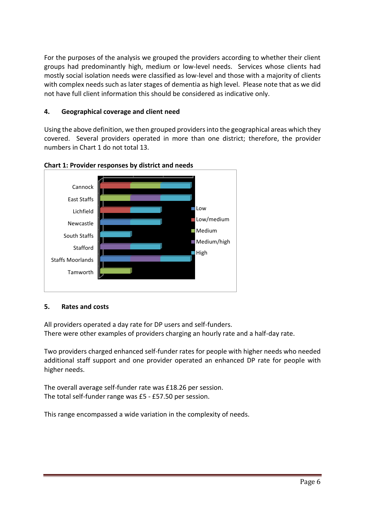For the purposes of the analysis we grouped the providers according to whether their client groups had predominantly high, medium or low-level needs. Services whose clients had mostly social isolation needs were classified as low-level and those with a majority of clients with complex needs such as later stages of dementia as high level. Please note that as we did not have full client information this should be considered as indicative only.

## **4. Geographical coverage and client need**

Using the above definition, we then grouped providers into the geographical areas which they covered. Several providers operated in more than one district; therefore, the provider numbers in Chart 1 do not total 13.





## **5. Rates and costs**

All providers operated a day rate for DP users and self-funders. There were other examples of providers charging an hourly rate and a half-day rate.

Two providers charged enhanced self-funder rates for people with higher needs who needed additional staff support and one provider operated an enhanced DP rate for people with higher needs.

The overall average self-funder rate was £18.26 per session. The total self-funder range was £5 - £57.50 per session.

This range encompassed a wide variation in the complexity of needs.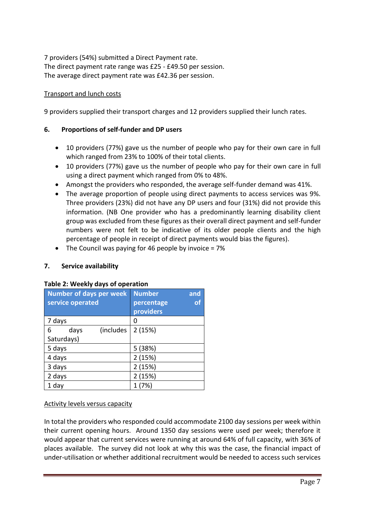7 providers (54%) submitted a Direct Payment rate. The direct payment rate range was £25 - £49.50 per session. The average direct payment rate was £42.36 per session.

## Transport and lunch costs

9 providers supplied their transport charges and 12 providers supplied their lunch rates.

## **6. Proportions of self-funder and DP users**

- 10 providers (77%) gave us the number of people who pay for their own care in full which ranged from 23% to 100% of their total clients.
- 10 providers (77%) gave us the number of people who pay for their own care in full using a direct payment which ranged from 0% to 48%.
- Amongst the providers who responded, the average self-funder demand was 41%.
- The average proportion of people using direct payments to access services was 9%. Three providers (23%) did not have any DP users and four (31%) did not provide this information. (NB One provider who has a predominantly learning disability client group was excluded from these figures as their overall direct payment and self-funder numbers were not felt to be indicative of its older people clients and the high percentage of people in receipt of direct payments would bias the figures).
- The Council was paying for 46 people by invoice  $= 7\%$

### **7. Service availability**

| <b>Number of days per week</b><br>service operated | and<br><b>Number</b><br>of<br>percentage<br>providers |
|----------------------------------------------------|-------------------------------------------------------|
| 7 days                                             | 0                                                     |
| (includes<br>days<br>6<br>Saturdays)               | 2(15%)                                                |
| 5 days                                             | 5(38%)                                                |
| 4 days                                             | 2(15%)                                                |
| 3 days                                             | 2(15%)                                                |
| 2 days                                             | 2(15%)                                                |
| 1 day                                              |                                                       |

### **Table 2: Weekly days of operation**

## Activity levels versus capacity

In total the providers who responded could accommodate 2100 day sessions per week within their current opening hours. Around 1350 day sessions were used per week; therefore it would appear that current services were running at around 64% of full capacity, with 36% of places available. The survey did not look at why this was the case, the financial impact of under-utilisation or whether additional recruitment would be needed to access such services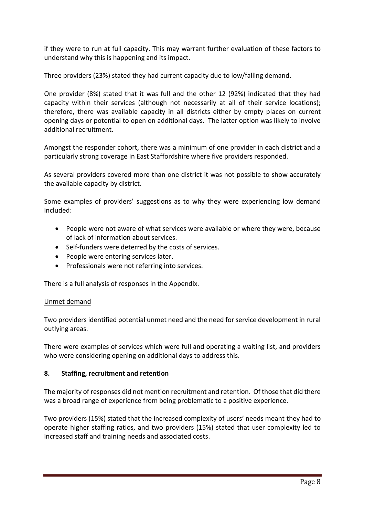if they were to run at full capacity. This may warrant further evaluation of these factors to understand why this is happening and its impact.

Three providers (23%) stated they had current capacity due to low/falling demand.

One provider (8%) stated that it was full and the other 12 (92%) indicated that they had capacity within their services (although not necessarily at all of their service locations); therefore, there was available capacity in all districts either by empty places on current opening days or potential to open on additional days. The latter option was likely to involve additional recruitment.

Amongst the responder cohort, there was a minimum of one provider in each district and a particularly strong coverage in East Staffordshire where five providers responded.

As several providers covered more than one district it was not possible to show accurately the available capacity by district.

Some examples of providers' suggestions as to why they were experiencing low demand included:

- People were not aware of what services were available or where they were, because of lack of information about services.
- Self-funders were deterred by the costs of services.
- People were entering services later.
- Professionals were not referring into services.

There is a full analysis of responses in the Appendix.

#### Unmet demand

Two providers identified potential unmet need and the need for service development in rural outlying areas.

There were examples of services which were full and operating a waiting list, and providers who were considering opening on additional days to address this.

### **8. Staffing, recruitment and retention**

The majority of responses did not mention recruitment and retention. Of those that did there was a broad range of experience from being problematic to a positive experience.

Two providers (15%) stated that the increased complexity of users' needs meant they had to operate higher staffing ratios, and two providers (15%) stated that user complexity led to increased staff and training needs and associated costs.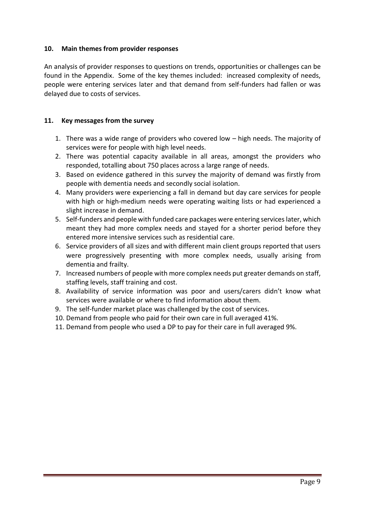#### **10. Main themes from provider responses**

An analysis of provider responses to questions on trends, opportunities or challenges can be found in the Appendix. Some of the key themes included: increased complexity of needs, people were entering services later and that demand from self-funders had fallen or was delayed due to costs of services.

#### **11. Key messages from the survey**

- 1. There was a wide range of providers who covered low high needs. The majority of services were for people with high level needs.
- 2. There was potential capacity available in all areas, amongst the providers who responded, totalling about 750 places across a large range of needs.
- 3. Based on evidence gathered in this survey the majority of demand was firstly from people with dementia needs and secondly social isolation.
- 4. Many providers were experiencing a fall in demand but day care services for people with high or high-medium needs were operating waiting lists or had experienced a slight increase in demand.
- 5. Self-funders and people with funded care packages were entering services later, which meant they had more complex needs and stayed for a shorter period before they entered more intensive services such as residential care.
- 6. Service providers of all sizes and with different main client groups reported that users were progressively presenting with more complex needs, usually arising from dementia and frailty.
- 7. Increased numbers of people with more complex needs put greater demands on staff, staffing levels, staff training and cost.
- 8. Availability of service information was poor and users/carers didn't know what services were available or where to find information about them.
- 9. The self-funder market place was challenged by the cost of services.
- 10. Demand from people who paid for their own care in full averaged 41%.
- 11. Demand from people who used a DP to pay for their care in full averaged 9%.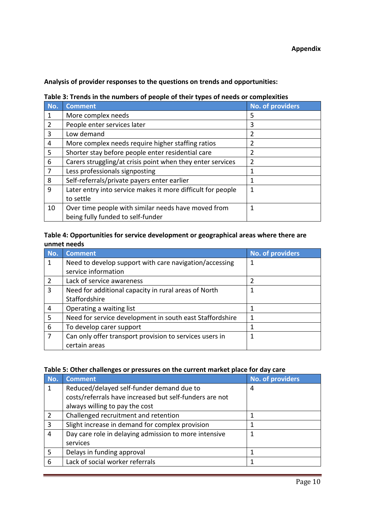**Analysis of provider responses to the questions on trends and opportunities:** 

| No. | <b>Comment</b>                                              | No. of providers |
|-----|-------------------------------------------------------------|------------------|
|     | More complex needs                                          | 5                |
| 2   | People enter services later                                 | 3                |
| 3   | Low demand                                                  | 2                |
| 4   | More complex needs require higher staffing ratios           | $\overline{2}$   |
| 5   | Shorter stay before people enter residential care           | 2                |
| 6   | Carers struggling/at crisis point when they enter services  | $\overline{2}$   |
| 7   | Less professionals signposting                              | 1                |
| 8   | Self-referrals/private payers enter earlier                 | 1                |
| 9   | Later entry into service makes it more difficult for people | 1                |
|     | to settle                                                   |                  |
| 10  | Over time people with similar needs have moved from         | 1                |
|     | being fully funded to self-funder                           |                  |

### **Table 4: Opportunities for service development or geographical areas where there are unmet needs**

| No.            | <b>Comment</b>                                           | No. of providers |
|----------------|----------------------------------------------------------|------------------|
|                | Need to develop support with care navigation/accessing   | 1                |
|                | service information                                      |                  |
| 2              | Lack of service awareness                                | 2                |
| 3              | Need for additional capacity in rural areas of North     | 1                |
|                | Staffordshire                                            |                  |
| 4              | Operating a waiting list                                 | 1                |
| 5              | Need for service development in south east Staffordshire | 1                |
| 6              | To develop carer support                                 |                  |
| $\overline{7}$ | Can only offer transport provision to services users in  | 1                |
|                | certain areas                                            |                  |

## **Table 5: Other challenges or pressures on the current market place for day care**

| No. | <b>Comment</b>                                          | No. of providers |
|-----|---------------------------------------------------------|------------------|
|     | Reduced/delayed self-funder demand due to               | 4                |
|     | costs/referrals have increased but self-funders are not |                  |
|     | always willing to pay the cost                          |                  |
| 2   | Challenged recruitment and retention                    |                  |
| 3   | Slight increase in demand for complex provision         |                  |
| 4   | Day care role in delaying admission to more intensive   | 1                |
|     | services                                                |                  |
| 5   | Delays in funding approval                              |                  |
| 6   | Lack of social worker referrals                         |                  |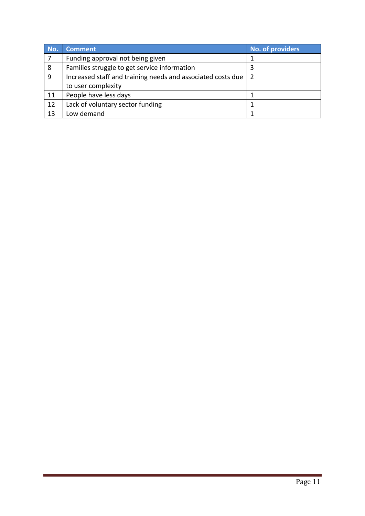| No. | <b>Comment</b>                                              | No. of providers |
|-----|-------------------------------------------------------------|------------------|
|     | Funding approval not being given                            |                  |
| 8   | Families struggle to get service information                |                  |
| 9   | Increased staff and training needs and associated costs due | 2                |
|     | to user complexity                                          |                  |
| 11  | People have less days                                       |                  |
| 12  | Lack of voluntary sector funding                            |                  |
| 13  | Low demand                                                  |                  |

÷,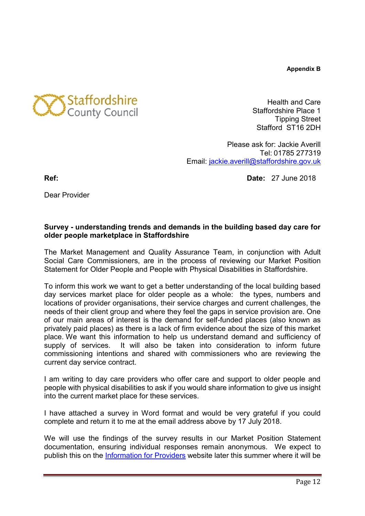**Appendix B**



Health and Care Staffordshire Place 1 Tipping Street Stafford ST16 2DH

Please ask for: Jackie Averill Tel: 01785 277319 Email: [jackie.averill@staffordshire.gov.uk](mailto:jackie.averill@staffordshire.gov.uk)

**Ref: Date:** 27 June 2018

Dear Provider

## **Survey - understanding trends and demands in the building based day care for older people marketplace in Staffordshire**

The Market Management and Quality Assurance Team, in conjunction with Adult Social Care Commissioners, are in the process of reviewing our Market Position Statement for Older People and People with Physical Disabilities in Staffordshire.

To inform this work we want to get a better understanding of the local building based day services market place for older people as a whole: the types, numbers and locations of provider organisations, their service charges and current challenges, the needs of their client group and where they feel the gaps in service provision are. One of our main areas of interest is the demand for self-funded places (also known as privately paid places) as there is a lack of firm evidence about the size of this market place. We want this information to help us understand demand and sufficiency of supply of services. It will also be taken into consideration to inform future commissioning intentions and shared with commissioners who are reviewing the current day service contract.

I am writing to day care providers who offer care and support to older people and people with physical disabilities to ask if you would share information to give us insight into the current market place for these services.

I have attached a survey in Word format and would be very grateful if you could complete and return it to me at the email address above by 17 July 2018.

We will use the findings of the survey results in our Market Position Statement documentation, ensuring individual responses remain anonymous. We expect to publish this on the [Information for Providers](https://www.staffordshire.gov.uk/health/Information-for-providers/Information-for-providers.aspx) website later this summer where it will be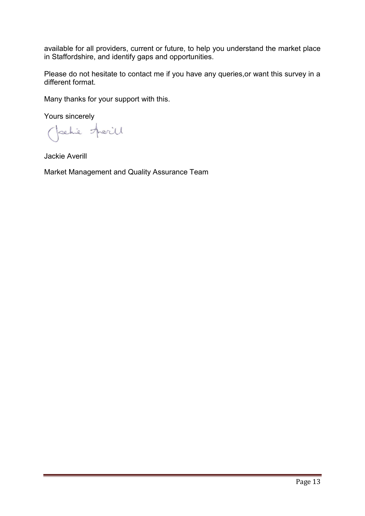available for all providers, current or future, to help you understand the market place in Staffordshire, and identify gaps and opportunities.

Please do not hesitate to contact me if you have any queries,or want this survey in a different format.

Many thanks for your support with this.

Yours sincerely

Jachie Herill

Jackie Averill

Market Management and Quality Assurance Team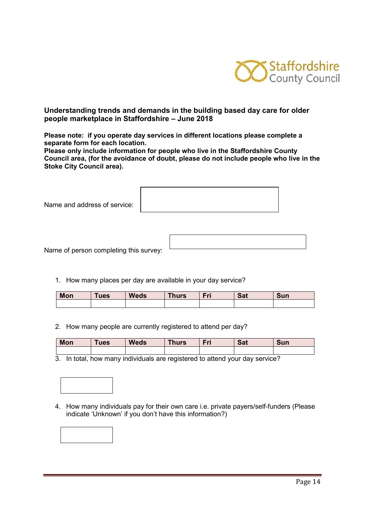

#### **Understanding trends and demands in the building based day care for older people marketplace in Staffordshire – June 2018**

**Please note: if you operate day services in different locations please complete a separate form for each location.** 

**Please only include information for people who live in the Staffordshire County Council area, (for the avoidance of doubt, please do not include people who live in the Stoke City Council area).** 

| Name and address of service: |  |
|------------------------------|--|
|                              |  |

Name of person completing this survey:

1. How many places per day are available in your day service?

| <b>Mon</b> | ues | <b>Weds</b> | <b>Thurs</b> | Eri<br>. . | $C_{21}$<br>-ual | Sun |
|------------|-----|-------------|--------------|------------|------------------|-----|
|            |     |             |              |            |                  |     |

2. How many people are currently registered to attend per day?

| <b>Mon</b> | <b>ues</b> | <b>Weds</b> | <b>Thurs</b> | = | <b>Jd</b> | <b>Sun</b> |
|------------|------------|-------------|--------------|---|-----------|------------|
|            |            |             |              |   |           |            |

3. In total, how many individuals are registered to attend your day service?



4. How many individuals pay for their own care i.e. private payers/self-funders (Please indicate 'Unknown' if you don't have this information?)

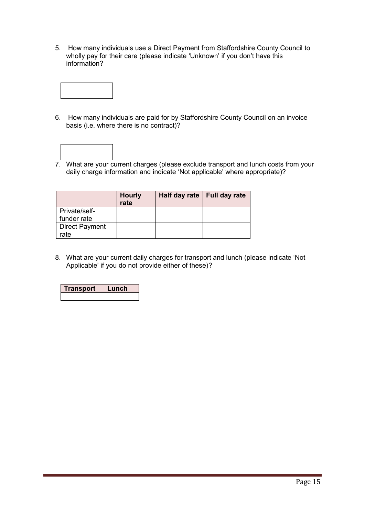5. How many individuals use a Direct Payment from Staffordshire County Council to wholly pay for their care (please indicate 'Unknown' if you don't have this information?



6. How many individuals are paid for by Staffordshire County Council on an invoice basis (i.e. where there is no contract)?



7. What are your current charges (please exclude transport and lunch costs from your daily charge information and indicate 'Not applicable' where appropriate)?

|                       | <b>Hourly</b><br>rate | Half day rate   Full day rate |  |
|-----------------------|-----------------------|-------------------------------|--|
| Private/self-         |                       |                               |  |
| funder rate           |                       |                               |  |
| <b>Direct Payment</b> |                       |                               |  |
| rate                  |                       |                               |  |

8. What are your current daily charges for transport and lunch (please indicate 'Not Applicable' if you do not provide either of these)?

| Transport | e 1 |  |
|-----------|-----|--|
|           |     |  |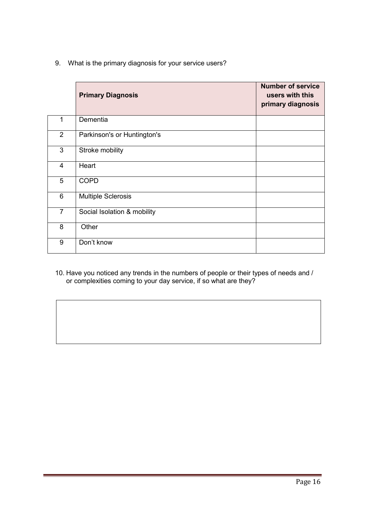9. What is the primary diagnosis for your service users?

|                | <b>Primary Diagnosis</b>    | <b>Number of service</b><br>users with this<br>primary diagnosis |
|----------------|-----------------------------|------------------------------------------------------------------|
| 1              | Dementia                    |                                                                  |
| $\overline{2}$ | Parkinson's or Huntington's |                                                                  |
| 3              | Stroke mobility             |                                                                  |
| $\overline{4}$ | Heart                       |                                                                  |
| 5              | <b>COPD</b>                 |                                                                  |
| 6              | <b>Multiple Sclerosis</b>   |                                                                  |
| $\overline{7}$ | Social Isolation & mobility |                                                                  |
| 8              | Other                       |                                                                  |
| 9              | Don't know                  |                                                                  |

10. Have you noticed any trends in the numbers of people or their types of needs and / or complexities coming to your day service, if so what are they?